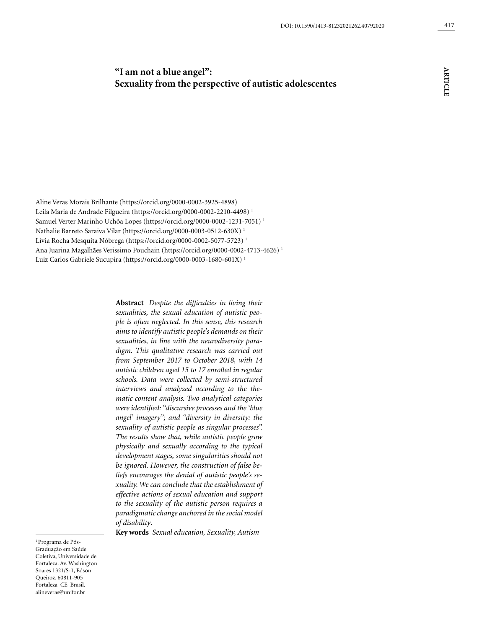# **"I am not a blue angel": Sexuality from the perspective of autistic adolescentes**

Aline Veras Morais Brilhante (https://orcid.org/0000-0002-3925-4898) 1 Leila Maria de Andrade Filgueira (https://orcid.org/0000-0002-2210-4498) 1 Samuel Verter Marinho Uchôa Lopes (https://orcid.org/0000-0002-1231-7051) 1 Nathalie Barreto Saraiva Vilar (https://orcid.org/0000-0003-0512-630X) 1 Lívia Rocha Mesquita Nóbrega (https://orcid.org/0000-0002-5077-5723)<sup>1</sup> Ana Juarina Magalhães Verissimo Pouchain (https://orcid.org/0000-0002-4713-4626) 1 Luiz Carlos Gabriele Sucupira (https://orcid.org/0000-0003-1680-601X) 1

> **Abstract** *Despite the difficulties in living their sexualities, the sexual education of autistic people is often neglected. In this sense, this research aims to identify autistic people's demands on their sexualities, in line with the neurodiversity paradigm. This qualitative research was carried out from September 2017 to October 2018, with 14 autistic children aged 15 to 17 enrolled in regular schools. Data were collected by semi-structured interviews and analyzed according to the thematic content analysis. Two analytical categories were identified: "discursive processes and the 'blue angel' imagery"; and "diversity in diversity: the sexuality of autistic people as singular processes". The results show that, while autistic people grow physically and sexually according to the typical development stages, some singularities should not be ignored. However, the construction of false beliefs encourages the denial of autistic people's sexuality. We can conclude that the establishment of effective actions of sexual education and support to the sexuality of the autistic person requires a paradigmatic change anchored in the social model of disability*.

**Key words** *Sexual education, Sexuality, Autism*

1 Programa de Pós-Graduação em Saúde Coletiva, Universidade de Fortaleza. Av. Washington Soares 1321/S-1, Edson Queiroz. 60811-905 Fortaleza CE Brasil. alineveras@unifor.br

**ARTICLE article**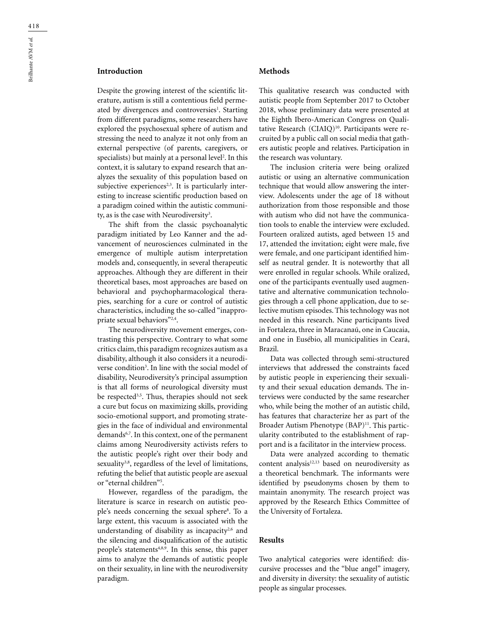# **Introduction**

Despite the growing interest of the scientific literature, autism is still a contentious field permeated by divergences and controversies<sup>1</sup>. Starting from different paradigms, some researchers have explored the psychosexual sphere of autism and stressing the need to analyze it not only from an external perspective (of parents, caregivers, or specialists) but mainly at a personal level<sup>2</sup>. In this context, it is salutary to expand research that analyzes the sexuality of this population based on subjective experiences<sup>2,3</sup>. It is particularly interesting to increase scientific production based on a paradigm coined within the autistic community, as is the case with Neurodiversity<sup>3</sup>.

The shift from the classic psychoanalytic paradigm initiated by Leo Kanner and the advancement of neurosciences culminated in the emergence of multiple autism interpretation models and, consequently, in several therapeutic approaches. Although they are different in their theoretical bases, most approaches are based on behavioral and psychopharmacological therapies, searching for a cure or control of autistic characteristics, including the so-called "inappropriate sexual behaviors"2,4.

The neurodiversity movement emerges, contrasting this perspective. Contrary to what some critics claim, this paradigm recognizes autism as a disability, although it also considers it a neurodiverse condition<sup>3</sup>. In line with the social model of disability, Neurodiversity's principal assumption is that all forms of neurological diversity must be respected<sup>3,5</sup>. Thus, therapies should not seek a cure but focus on maximizing skills, providing socio-emotional support, and promoting strategies in the face of individual and environmental demands6,7. In this context, one of the permanent claims among Neurodiversity activists refers to the autistic people's right over their body and sexuality<sup>3,8</sup>, regardless of the level of limitations, refuting the belief that autistic people are asexual or "eternal children"5 .

However, regardless of the paradigm, the literature is scarce in research on autistic people's needs concerning the sexual sphere<sup>8</sup>. To a large extent, this vacuum is associated with the understanding of disability as incapacity<sup>2,6</sup> and the silencing and disqualification of the autistic people's statements<sup>4,8,9</sup>. In this sense, this paper aims to analyze the demands of autistic people on their sexuality, in line with the neurodiversity paradigm.

### **Methods**

This qualitative research was conducted with autistic people from September 2017 to October 2018, whose preliminary data were presented at the Eighth Ibero-American Congress on Qualitative Research (CIAIQ)<sup>10</sup>. Participants were recruited by a public call on social media that gathers autistic people and relatives. Participation in the research was voluntary.

The inclusion criteria were being oralized autistic or using an alternative communication technique that would allow answering the interview. Adolescents under the age of 18 without authorization from those responsible and those with autism who did not have the communication tools to enable the interview were excluded. Fourteen oralized autists, aged between 15 and 17, attended the invitation; eight were male, five were female, and one participant identified himself as neutral gender. It is noteworthy that all were enrolled in regular schools. While oralized, one of the participants eventually used augmentative and alternative communication technologies through a cell phone application, due to selective mutism episodes. This technology was not needed in this research. Nine participants lived in Fortaleza, three in Maracanaú, one in Caucaia, and one in Eusébio, all municipalities in Ceará, Brazil.

Data was collected through semi-structured interviews that addressed the constraints faced by autistic people in experiencing their sexuality and their sexual education demands. The interviews were conducted by the same researcher who, while being the mother of an autistic child, has features that characterize her as part of the Broader Autism Phenotype (BAP)<sup>11</sup>. This particularity contributed to the establishment of rapport and is a facilitator in the interview process.

Data were analyzed according to thematic content analysis<sup>12,13</sup> based on neurodiversity as a theoretical benchmark. The informants were identified by pseudonyms chosen by them to maintain anonymity. The research project was approved by the Research Ethics Committee of the University of Fortaleza.

#### **Results**

Two analytical categories were identified: discursive processes and the "blue angel" imagery, and diversity in diversity: the sexuality of autistic people as singular processes.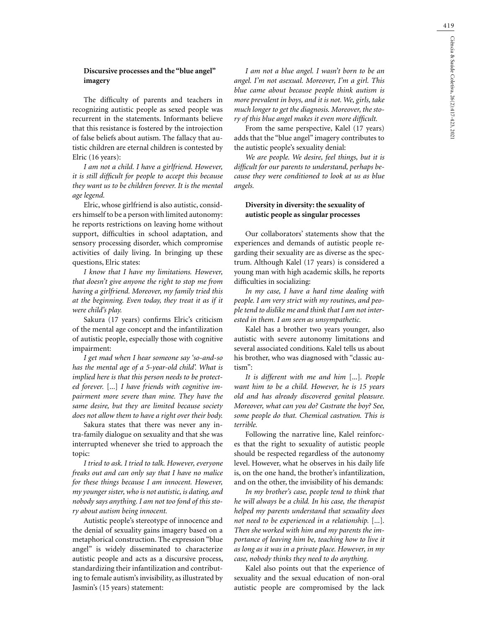419

### **Discursive processes and the "blue angel" imagery**

The difficulty of parents and teachers in recognizing autistic people as sexed people was recurrent in the statements. Informants believe that this resistance is fostered by the introjection of false beliefs about autism. The fallacy that autistic children are eternal children is contested by Elric (16 years):

*I am not a child. I have a girlfriend. However, it is still difficult for people to accept this because they want us to be children forever. It is the mental age legend.*

Elric, whose girlfriend is also autistic, considers himself to be a person with limited autonomy: he reports restrictions on leaving home without support, difficulties in school adaptation, and sensory processing disorder, which compromise activities of daily living. In bringing up these questions, Elric states:

*I know that I have my limitations. However, that doesn't give anyone the right to stop me from having a girlfriend. Moreover, my family tried this at the beginning. Even today, they treat it as if it were child's play.*

Sakura (17 years) confirms Elric's criticism of the mental age concept and the infantilization of autistic people, especially those with cognitive impairment:

*I get mad when I hear someone say 'so-and-so has the mental age of a 5-year-old child'. What is implied here is that this person needs to be protected forever.* [...] *I have friends with cognitive impairment more severe than mine. They have the same desire, but they are limited because society does not allow them to have a right over their body.*

Sakura states that there was never any intra-family dialogue on sexuality and that she was interrupted whenever she tried to approach the topic:

*I tried to ask. I tried to talk. However, everyone freaks out and can only say that I have no malice for these things because I am innocent. However, my younger sister, who is not autistic, is dating, and nobody says anything. I am not too fond of this story about autism being innocent.*

Autistic people's stereotype of innocence and the denial of sexuality gains imagery based on a metaphorical construction. The expression "blue angel" is widely disseminated to characterize autistic people and acts as a discursive process, standardizing their infantilization and contributing to female autism's invisibility, as illustrated by Jasmin's (15 years) statement:

*I am not a blue angel. I wasn't born to be an angel. I'm not asexual. Moreover, I'm a girl. This blue came about because people think autism is more prevalent in boys, and it is not. We, girls, take much longer to get the diagnosis. Moreover, the story of this blue angel makes it even more difficult.*

From the same perspective, Kalel (17 years) adds that the "blue angel" imagery contributes to the autistic people's sexuality denial:

*We are people. We desire, feel things, but it is difficult for our parents to understand, perhaps because they were conditioned to look at us as blue angels.*

#### **Diversity in diversity: the sexuality of autistic people as singular processes**

Our collaborators' statements show that the experiences and demands of autistic people regarding their sexuality are as diverse as the spectrum. Although Kalel (17 years) is considered a young man with high academic skills, he reports difficulties in socializing:

*In my case, I have a hard time dealing with people. I am very strict with my routines, and people tend to dislike me and think that I am not interested in them. I am seen as unsympathetic.*

Kalel has a brother two years younger, also autistic with severe autonomy limitations and several associated conditions. Kalel tells us about his brother, who was diagnosed with "classic autism":

*It is different with me and him* [...]*. People want him to be a child. However, he is 15 years old and has already discovered genital pleasure. Moreover, what can you do? Castrate the boy? See, some people do that. Chemical castration. This is terrible.*

Following the narrative line, Kalel reinforces that the right to sexuality of autistic people should be respected regardless of the autonomy level. However, what he observes in his daily life is, on the one hand, the brother's infantilization, and on the other, the invisibility of his demands:

*In my brother's case, people tend to think that he will always be a child. In his case, the therapist helped my parents understand that sexuality does not need to be experienced in a relationship.* [...]. *Then she worked with him and my parents the importance of leaving him be, teaching how to live it as long as it was in a private place. However, in my case, nobody thinks they need to do anything.*

Kalel also points out that the experience of sexuality and the sexual education of non-oral autistic people are compromised by the lack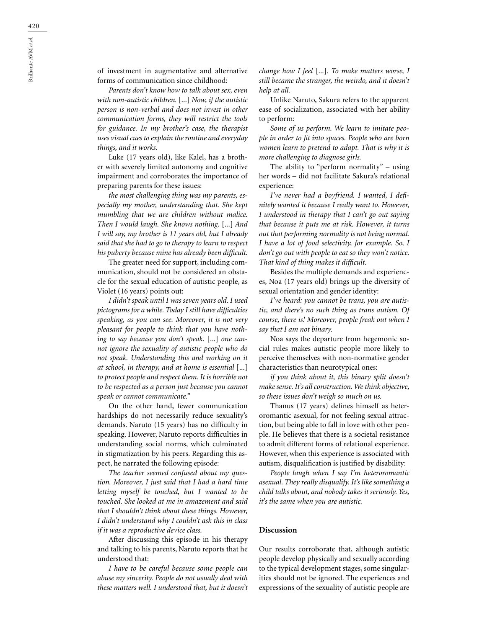of investment in augmentative and alternative forms of communication since childhood:

*Parents don't know how to talk about sex, even with non-autistic children.* [...] *Now, if the autistic person is non-verbal and does not invest in other communication forms, they will restrict the tools for guidance. In my brother's case, the therapist uses visual cues to explain the routine and everyday things, and it works.*

Luke (17 years old), like Kalel, has a brother with severely limited autonomy and cognitive impairment and corroborates the importance of preparing parents for these issues:

*the most challenging thing was my parents, especially my mother, understanding that. She kept mumbling that we are children without malice. Then I would laugh. She knows nothing.* [...] *And I will say, my brother is 11 years old, but I already said that she had to go to therapy to learn to respect his puberty because mine has already been difficult.*

The greater need for support, including communication, should not be considered an obstacle for the sexual education of autistic people, as Violet (16 years) points out:

*I didn't speak until I was seven years old. I used pictograms for a while. Today I still have difficulties speaking, as you can see. Moreover, it is not very pleasant for people to think that you have nothing to say because you don't speak.* [...] *one cannot ignore the sexuality of autistic people who do not speak. Understanding this and working on it at school, in therapy, and at home is essential* [...] *to protect people and respect them. It is horrible not to be respected as a person just because you cannot speak or cannot communicate."*

On the other hand, fewer communication hardships do not necessarily reduce sexuality's demands. Naruto (15 years) has no difficulty in speaking. However, Naruto reports difficulties in understanding social norms, which culminated in stigmatization by his peers. Regarding this aspect, he narrated the following episode:

*The teacher seemed confused about my question. Moreover, I just said that I had a hard time letting myself be touched, but I wanted to be touched. She looked at me in amazement and said that I shouldn't think about these things. However, I didn't understand why I couldn't ask this in class if it was a reproductive device class.*

After discussing this episode in his therapy and talking to his parents, Naruto reports that he understood that:

*I have to be careful because some people can abuse my sincerity. People do not usually deal with these matters well. I understood that, but it doesn't*  *change how I feel* [...]*. To make matters worse, I still became the stranger, the weirdo, and it doesn't help at all.*

Unlike Naruto, Sakura refers to the apparent ease of socialization, associated with her ability to perform:

*Some of us perform. We learn to imitate people in order to fit into spaces. People who are born women learn to pretend to adapt. That is why it is more challenging to diagnose girls.*

The ability to "perform normality" – using her words – did not facilitate Sakura's relational experience:

*I've never had a boyfriend. I wanted, I definitely wanted it because I really want to. However, I understood in therapy that I can't go out saying that because it puts me at risk. However, it turns out that performing normality is not being normal. I have a lot of food selectivity, for example. So, I don't go out with people to eat so they won't notice. That kind of thing makes it difficult.*

Besides the multiple demands and experiences, Noa (17 years old) brings up the diversity of sexual orientation and gender identity:

*I've heard: you cannot be trans, you are autistic, and there's no such thing as trans autism. Of course, there is! Moreover, people freak out when I say that I am not binary.*

Noa says the departure from hegemonic social rules makes autistic people more likely to perceive themselves with non-normative gender characteristics than neurotypical ones:

*if you think about it, this binary split doesn't make sense. It's all construction. We think objective, so these issues don't weigh so much on us.*

Thanus (17 years) defines himself as heteroromantic asexual, for not feeling sexual attraction, but being able to fall in love with other people. He believes that there is a societal resistance to admit different forms of relational experience. However, when this experience is associated with autism, disqualification is justified by disability:

*People laugh when I say I'm heteroromantic asexual. They really disqualify. It's like something a child talks about, and nobody takes it seriously. Yes, it's the same when you are autistic.*

#### **Discussion**

Our results corroborate that, although autistic people develop physically and sexually according to the typical development stages, some singularities should not be ignored. The experiences and expressions of the sexuality of autistic people are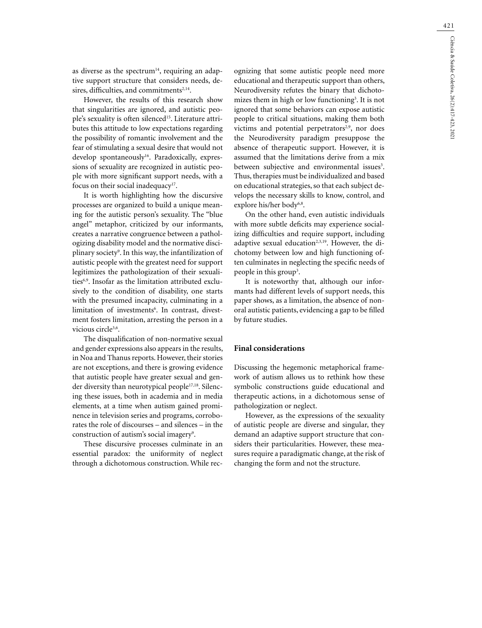as diverse as the spectrum $14$ , requiring an adaptive support structure that considers needs, desires, difficulties, and commitments<sup>2,14</sup>.

However, the results of this research show that singularities are ignored, and autistic people's sexuality is often silenced<sup>15</sup>. Literature attributes this attitude to low expectations regarding the possibility of romantic involvement and the fear of stimulating a sexual desire that would not develop spontaneously<sup>16</sup>. Paradoxically, expressions of sexuality are recognized in autistic people with more significant support needs, with a focus on their social inadequacy<sup>17</sup>.

It is worth highlighting how the discursive processes are organized to build a unique meaning for the autistic person's sexuality. The "blue angel" metaphor, criticized by our informants, creates a narrative congruence between a pathologizing disability model and the normative disciplinary society9 . In this way, the infantilization of autistic people with the greatest need for support legitimizes the pathologization of their sexualities<sup>6,9</sup>. Insofar as the limitation attributed exclusively to the condition of disability, one starts with the presumed incapacity, culminating in a limitation of investments<sup>6</sup>. In contrast, divestment fosters limitation, arresting the person in a vicious circle<sup>3,6</sup>.

The disqualification of non-normative sexual and gender expressions also appears in the results, in Noa and Thanus reports. However, their stories are not exceptions, and there is growing evidence that autistic people have greater sexual and gender diversity than neurotypical people<sup>17,18</sup>. Silencing these issues, both in academia and in media elements, at a time when autism gained prominence in television series and programs, corroborates the role of discourses – and silences – in the construction of autism's social imagery<sup>9</sup>.

These discursive processes culminate in an essential paradox: the uniformity of neglect through a dichotomous construction. While recognizing that some autistic people need more educational and therapeutic support than others, Neurodiversity refutes the binary that dichotomizes them in high or low functioning<sup>3</sup>. It is not ignored that some behaviors can expose autistic people to critical situations, making them both victims and potential perpetrators<sup>2,9</sup>, nor does the Neurodiversity paradigm presuppose the absence of therapeutic support. However, it is assumed that the limitations derive from a mix between subjective and environmental issues<sup>3</sup>. Thus, therapies must be individualized and based on educational strategies, so that each subject develops the necessary skills to know, control, and explore his/her body<sup>6,8</sup>.

On the other hand, even autistic individuals with more subtle deficits may experience socializing difficulties and require support, including adaptive sexual education<sup>2,3,19</sup>. However, the dichotomy between low and high functioning often culminates in neglecting the specific needs of people in this group<sup>3</sup>.

It is noteworthy that, although our informants had different levels of support needs, this paper shows, as a limitation, the absence of nonoral autistic patients, evidencing a gap to be filled by future studies.

#### **Final considerations**

Discussing the hegemonic metaphorical framework of autism allows us to rethink how these symbolic constructions guide educational and therapeutic actions, in a dichotomous sense of pathologization or neglect.

However, as the expressions of the sexuality of autistic people are diverse and singular, they demand an adaptive support structure that considers their particularities. However, these measures require a paradigmatic change, at the risk of changing the form and not the structure.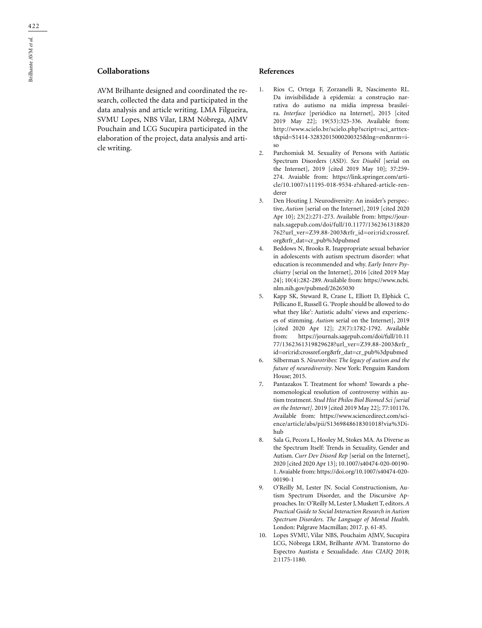# **Collaborations**

AVM Brilhante designed and coordinated the research, collected the data and participated in the data analysis and article writing. LMA Filgueira, SVMU Lopes, NBS Vilar, LRM Nóbrega, AJMV Pouchain and LCG Sucupira participated in the elaboration of the project, data analysis and article writing.

#### **References**

- 1. Rios C, Ortega F, Zorzanelli R, Nascimento RL. Da invisibilidade à epidemia: a construção narrativa do autismo na mídia impressa brasileira. *Interface* [periódico na Internet], 2015 [cited 2019 May 22]; 19(53):325-336. Available from: http://www.scielo.br/scielo.php?script=sci\_arttext&pid=S1414-32832015000200325&lng=en&nrm=iso
- 2. Parchomiuk M. Sexuality of Persons with Autistic Spectrum Disorders (ASD). *Sex Disabil* [serial on the Internet], 2019 [cited 2019 May 10]; 37:259- 274. Avaiable from: https://link.springer.com/article/10.1007/s11195-018-9534-z?shared-article-renderer
- 3. Den Houting J. Neurodiversity: An insider's perspective, *Autism* [serial on the Internet], 2019 [cited 2020 Apr 10]; 23(2):271-273. Available from: https://journals.sagepub.com/doi/full/10.1177/1362361318820 762?url\_ver=Z39.88-2003&rfr\_id=ori:rid:crossref. org&rfr\_dat=cr\_pub%3dpubmed
- 4. Beddows N, Brooks R. Inappropriate sexual behavior in adolescents with autism spectrum disorder: what education is recommended and why. *Early Interv Psychiatry* [serial on the Internet], 2016 [cited 2019 May 24]; 10(4):282-289. Available from: https://www.ncbi. nlm.nih.gov/pubmed/26265030
- 5. Kapp SK, Steward R, Crane L, Elliott D, Elphick C, Pellicano E, Russell G. 'People should be allowed to do what they like': Autistic adults' views and experiences of stimming. *Autism* serial on the Internet], 2019 [cited 2020 Apr 12]; *23*(7):1782-1792. Available from: https://journals.sagepub.com/doi/full/10.11 77/1362361319829628?url\_ver=Z39.88-2003&rfr\_ id=ori:rid:crossref.org&rfr\_dat=cr\_pub%3dpubmed
- 6. Silberman S. *Neurotribes: The legacy of autism and the future of neurodiversity*. New York: Penguim Random House; 2015.
- 7. Pantazakos T. Treatment for whom? Towards a phenomenological resolution of controversy within autism treatment. *Stud Hist Philos Biol Biomed Sci [serial on the Internet]*. 2019 [cited 2019 May 22]; 77:101176. Available from: https://www.sciencedirect.com/science/article/abs/pii/S1369848618301018?via%3Dihub
- 8. Sala G, Pecora L, Hooley M, Stokes MA. As Diverse as the Spectrum Itself: Trends in Sexuality, Gender and Autism. *Curr Dev Disord Rep* [serial on the Internet], 2020 [cited 2020 Apr 13]; 10.1007/s40474-020-00190- 1. Avaiable from: https://doi.org/10.1007/s40474-020- 00190-1
- 9. O'Reilly M, Lester JN. Social Constructionism, Autism Spectrum Disorder, and the Discursive Approaches. In: O'Reilly M, Lester J, Muskett T, editors. *A Practical Guide to Social Interaction Research in Autism Spectrum Disorders. The Language of Mental Health*. London: Palgrave Macmillan; 2017. p. 61-85.
- 10. Lopes SVMU, Vilar NBS, Pouchaim AJMV, Sucupira LCG, Nóbrega LRM, Brilhante AVM. Transtorno do Espectro Austista e Sexualidade. *Atas CIAIQ* 2018; 2:1175-1180.